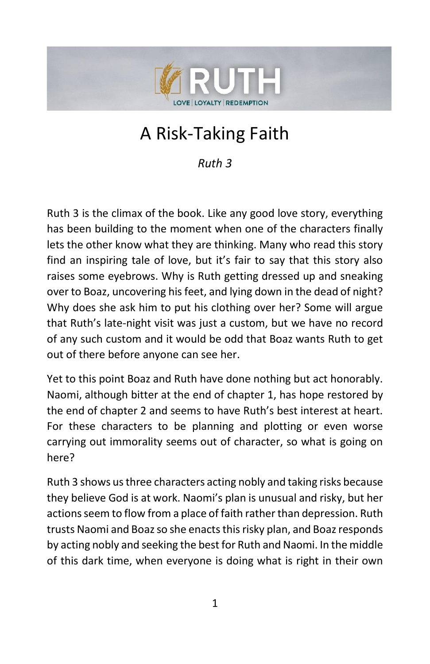

# A Risk-Taking Faith

*Ruth 3*

Ruth 3 is the climax of the book. Like any good love story, everything has been building to the moment when one of the characters finally lets the other know what they are thinking. Many who read this story find an inspiring tale of love, but it's fair to say that this story also raises some eyebrows. Why is Ruth getting dressed up and sneaking over to Boaz, uncovering his feet, and lying down in the dead of night? Why does she ask him to put his clothing over her? Some will argue that Ruth's late-night visit was just a custom, but we have no record of any such custom and it would be odd that Boaz wants Ruth to get out of there before anyone can see her.

Yet to this point Boaz and Ruth have done nothing but act honorably. Naomi, although bitter at the end of chapter 1, has hope restored by the end of chapter 2 and seems to have Ruth's best interest at heart. For these characters to be planning and plotting or even worse carrying out immorality seems out of character, so what is going on here?

Ruth 3 shows us three characters acting nobly and taking risks because they believe God is at work. Naomi's plan is unusual and risky, but her actions seem to flow from a place of faith rather than depression. Ruth trusts Naomi and Boaz so she enacts this risky plan, and Boaz responds by acting nobly and seeking the best for Ruth and Naomi. In the middle of this dark time, when everyone is doing what is right in their own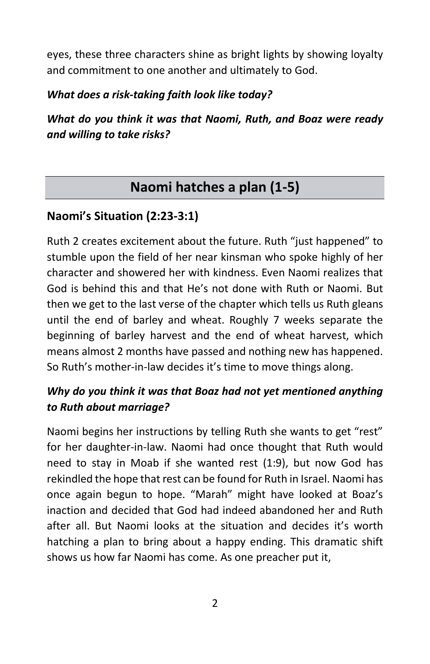eyes, these three characters shine as bright lights by showing loyalty and commitment to one another and ultimately to God.

#### *What does a risk-taking faith look like today?*

*What do you think it was that Naomi, Ruth, and Boaz were ready and willing to take risks?*

# **Naomi hatches a plan (1-5)**

## **Naomi's Situation (2:23-3:1)**

Ruth 2 creates excitement about the future. Ruth "just happened" to stumble upon the field of her near kinsman who spoke highly of her character and showered her with kindness. Even Naomi realizes that God is behind this and that He's not done with Ruth or Naomi. But then we get to the last verse of the chapter which tells us Ruth gleans until the end of barley and wheat. Roughly 7 weeks separate the beginning of barley harvest and the end of wheat harvest, which means almost 2 months have passed and nothing new has happened. So Ruth's mother-in-law decides it's time to move things along.

#### *Why do you think it was that Boaz had not yet mentioned anything to Ruth about marriage?*

Naomi begins her instructions by telling Ruth she wants to get "rest" for her daughter-in-law. Naomi had once thought that Ruth would need to stay in Moab if she wanted rest (1:9), but now God has rekindled the hope that rest can be found for Ruth in Israel. Naomi has once again begun to hope. "Marah" might have looked at Boaz's inaction and decided that God had indeed abandoned her and Ruth after all. But Naomi looks at the situation and decides it's worth hatching a plan to bring about a happy ending. This dramatic shift shows us how far Naomi has come. As one preacher put it,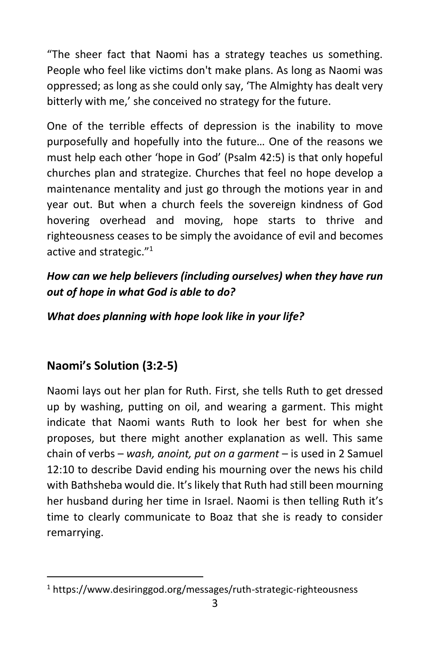"The sheer fact that Naomi has a strategy teaches us something. People who feel like victims don't make plans. As long as Naomi was oppressed; as long as she could only say, 'The Almighty has dealt very bitterly with me,' she conceived no strategy for the future.

One of the terrible effects of depression is the inability to move purposefully and hopefully into the future… One of the reasons we must help each other 'hope in God' (Psalm 42:5) is that only hopeful churches plan and strategize. Churches that feel no hope develop a maintenance mentality and just go through the motions year in and year out. But when a church feels the sovereign kindness of God hovering overhead and moving, hope starts to thrive and righteousness ceases to be simply the avoidance of evil and becomes active and strategic."<sup>1</sup>

## *How can we help believers (including ourselves) when they have run out of hope in what God is able to do?*

#### *What does planning with hope look like in your life?*

## **Naomi's Solution (3:2-5)**

Naomi lays out her plan for Ruth. First, she tells Ruth to get dressed up by washing, putting on oil, and wearing a garment. This might indicate that Naomi wants Ruth to look her best for when she proposes, but there might another explanation as well. This same chain of verbs – *wash, anoint, put on a garment* – is used in 2 Samuel 12:10 to describe David ending his mourning over the news his child with Bathsheba would die. It's likely that Ruth had still been mourning her husband during her time in Israel. Naomi is then telling Ruth it's time to clearly communicate to Boaz that she is ready to consider remarrying.

<sup>&</sup>lt;sup>1</sup> https://www.desiringgod.org/messages/ruth-strategic-righteousness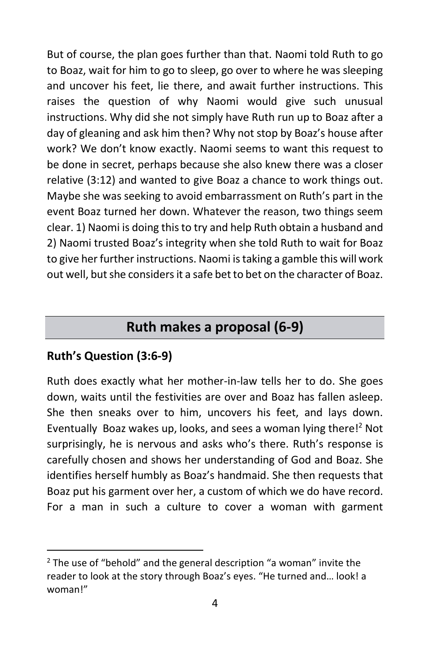But of course, the plan goes further than that. Naomi told Ruth to go to Boaz, wait for him to go to sleep, go over to where he was sleeping and uncover his feet, lie there, and await further instructions. This raises the question of why Naomi would give such unusual instructions. Why did she not simply have Ruth run up to Boaz after a day of gleaning and ask him then? Why not stop by Boaz's house after work? We don't know exactly. Naomi seems to want this request to be done in secret, perhaps because she also knew there was a closer relative (3:12) and wanted to give Boaz a chance to work things out. Maybe she was seeking to avoid embarrassment on Ruth's part in the event Boaz turned her down. Whatever the reason, two things seem clear. 1) Naomi is doing this to try and help Ruth obtain a husband and 2) Naomi trusted Boaz's integrity when she told Ruth to wait for Boaz to give her further instructions. Naomi is taking a gamble this will work out well, but she considers it a safe bet to bet on the character of Boaz.

# **Ruth makes a proposal (6-9)**

#### **Ruth's Question (3:6-9)**

Ruth does exactly what her mother-in-law tells her to do. She goes down, waits until the festivities are over and Boaz has fallen asleep. She then sneaks over to him, uncovers his feet, and lays down. Eventually Boaz wakes up, looks, and sees a woman lying there!<sup>2</sup> Not surprisingly, he is nervous and asks who's there. Ruth's response is carefully chosen and shows her understanding of God and Boaz. She identifies herself humbly as Boaz's handmaid. She then requests that Boaz put his garment over her, a custom of which we do have record. For a man in such a culture to cover a woman with garment

 $2$  The use of "behold" and the general description "a woman" invite the reader to look at the story through Boaz's eyes. "He turned and… look! a woman!"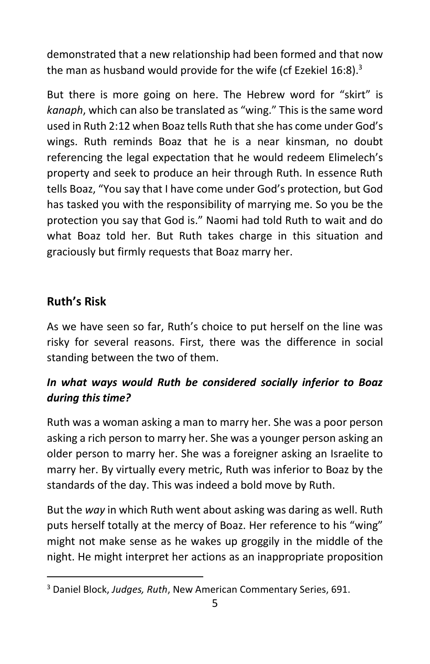demonstrated that a new relationship had been formed and that now the man as husband would provide for the wife (cf Ezekiel  $16:8$ ).<sup>3</sup>

But there is more going on here. The Hebrew word for "skirt" is *kanaph*, which can also be translated as "wing." This is the same word used in Ruth 2:12 when Boaz tells Ruth that she has come under God's wings. Ruth reminds Boaz that he is a near kinsman, no doubt referencing the legal expectation that he would redeem Elimelech's property and seek to produce an heir through Ruth. In essence Ruth tells Boaz, "You say that I have come under God's protection, but God has tasked you with the responsibility of marrying me. So you be the protection you say that God is." Naomi had told Ruth to wait and do what Boaz told her. But Ruth takes charge in this situation and graciously but firmly requests that Boaz marry her.

#### **Ruth's Risk**

As we have seen so far, Ruth's choice to put herself on the line was risky for several reasons. First, there was the difference in social standing between the two of them.

#### *In what ways would Ruth be considered socially inferior to Boaz during this time?*

Ruth was a woman asking a man to marry her. She was a poor person asking a rich person to marry her. She was a younger person asking an older person to marry her. She was a foreigner asking an Israelite to marry her. By virtually every metric, Ruth was inferior to Boaz by the standards of the day. This was indeed a bold move by Ruth.

But the *way* in which Ruth went about asking was daring as well. Ruth puts herself totally at the mercy of Boaz. Her reference to his "wing" might not make sense as he wakes up groggily in the middle of the night. He might interpret her actions as an inappropriate proposition

<sup>3</sup> Daniel Block, *Judges, Ruth*, New American Commentary Series, 691.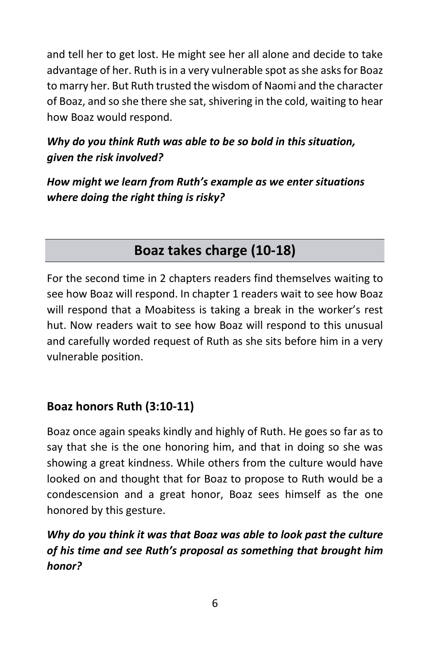and tell her to get lost. He might see her all alone and decide to take advantage of her. Ruth is in a very vulnerable spot as she asks for Boaz to marry her. But Ruth trusted the wisdom of Naomi and the character of Boaz, and so she there she sat, shivering in the cold, waiting to hear how Boaz would respond.

## *Why do you think Ruth was able to be so bold in this situation, given the risk involved?*

*How might we learn from Ruth's example as we enter situations where doing the right thing is risky?*

# **Boaz takes charge (10-18)**

For the second time in 2 chapters readers find themselves waiting to see how Boaz will respond. In chapter 1 readers wait to see how Boaz will respond that a Moabitess is taking a break in the worker's rest hut. Now readers wait to see how Boaz will respond to this unusual and carefully worded request of Ruth as she sits before him in a very vulnerable position.

#### **Boaz honors Ruth (3:10-11)**

Boaz once again speaks kindly and highly of Ruth. He goes so far as to say that she is the one honoring him, and that in doing so she was showing a great kindness. While others from the culture would have looked on and thought that for Boaz to propose to Ruth would be a condescension and a great honor, Boaz sees himself as the one honored by this gesture.

## *Why do you think it was that Boaz was able to look past the culture of his time and see Ruth's proposal as something that brought him honor?*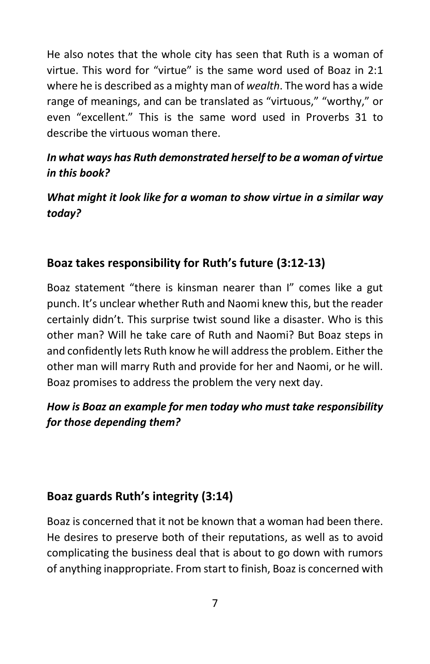He also notes that the whole city has seen that Ruth is a woman of virtue. This word for "virtue" is the same word used of Boaz in 2:1 where he is described as a mighty man of *wealth*. The word has a wide range of meanings, and can be translated as "virtuous," "worthy," or even "excellent." This is the same word used in Proverbs 31 to describe the virtuous woman there.

#### *In what ways has Ruth demonstrated herself to be a woman of virtue in this book?*

*What might it look like for a woman to show virtue in a similar way today?*

### **Boaz takes responsibility for Ruth's future (3:12-13)**

Boaz statement "there is kinsman nearer than I" comes like a gut punch. It's unclear whether Ruth and Naomi knew this, but the reader certainly didn't. This surprise twist sound like a disaster. Who is this other man? Will he take care of Ruth and Naomi? But Boaz steps in and confidently lets Ruth know he will address the problem. Either the other man will marry Ruth and provide for her and Naomi, or he will. Boaz promises to address the problem the very next day.

### *How is Boaz an example for men today who must take responsibility for those depending them?*

#### **Boaz guards Ruth's integrity (3:14)**

Boaz is concerned that it not be known that a woman had been there. He desires to preserve both of their reputations, as well as to avoid complicating the business deal that is about to go down with rumors of anything inappropriate. From start to finish, Boaz is concerned with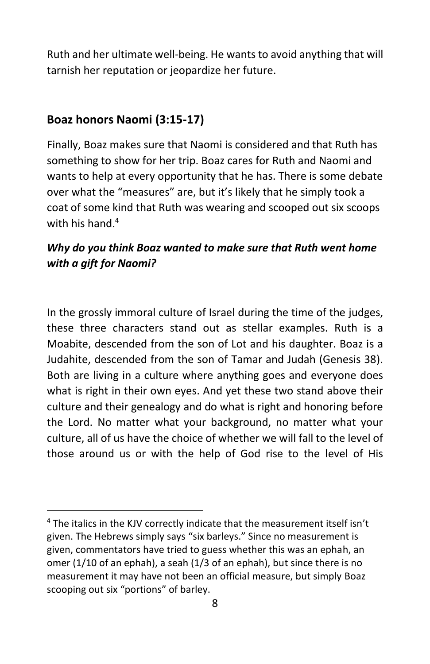Ruth and her ultimate well-being. He wants to avoid anything that will tarnish her reputation or jeopardize her future.

#### **Boaz honors Naomi (3:15-17)**

Finally, Boaz makes sure that Naomi is considered and that Ruth has something to show for her trip. Boaz cares for Ruth and Naomi and wants to help at every opportunity that he has. There is some debate over what the "measures" are, but it's likely that he simply took a coat of some kind that Ruth was wearing and scooped out six scoops with his hand.<sup>4</sup>

#### *Why do you think Boaz wanted to make sure that Ruth went home with a gift for Naomi?*

In the grossly immoral culture of Israel during the time of the judges, these three characters stand out as stellar examples. Ruth is a Moabite, descended from the son of Lot and his daughter. Boaz is a Judahite, descended from the son of Tamar and Judah (Genesis 38). Both are living in a culture where anything goes and everyone does what is right in their own eyes. And yet these two stand above their culture and their genealogy and do what is right and honoring before the Lord. No matter what your background, no matter what your culture, all of us have the choice of whether we will fall to the level of those around us or with the help of God rise to the level of His

<sup>4</sup> The italics in the KJV correctly indicate that the measurement itself isn't given. The Hebrews simply says "six barleys." Since no measurement is given, commentators have tried to guess whether this was an ephah, an omer (1/10 of an ephah), a seah (1/3 of an ephah), but since there is no measurement it may have not been an official measure, but simply Boaz scooping out six "portions" of barley.